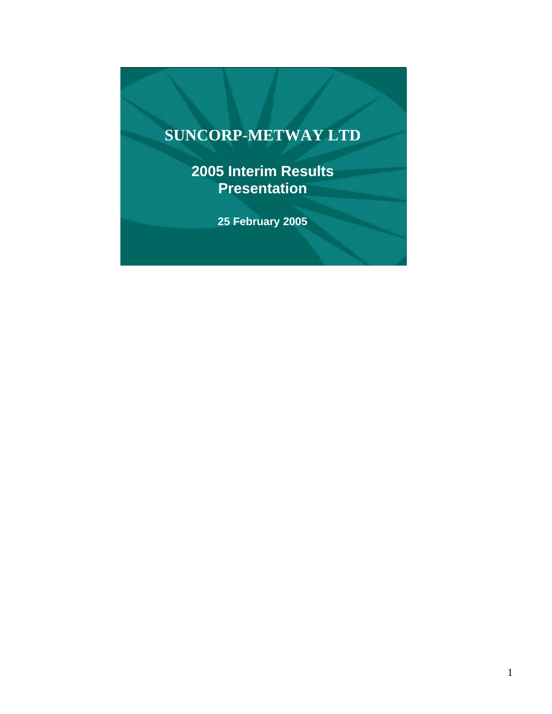# **SUNCORP-METWAY LTD**

**2005 Interim Results Presentation**

**25 February 2005**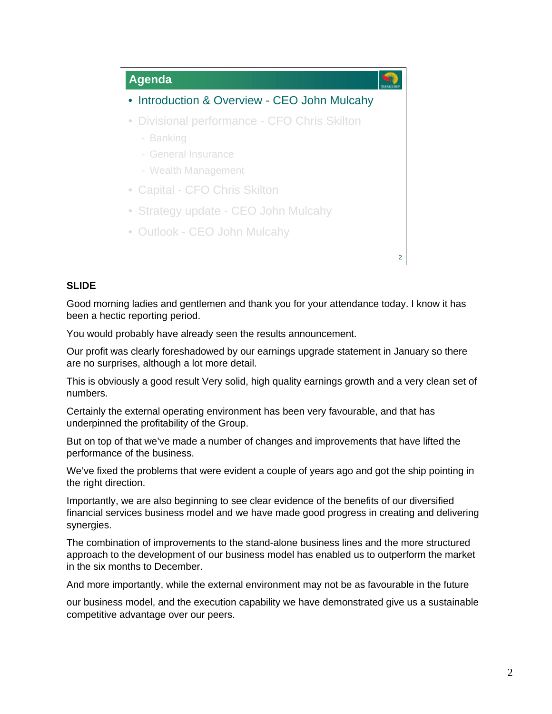

Good morning ladies and gentlemen and thank you for your attendance today. I know it has been a hectic reporting period.

You would probably have already seen the results announcement.

Our profit was clearly foreshadowed by our earnings upgrade statement in January so there are no surprises, although a lot more detail.

This is obviously a good result Very solid, high quality earnings growth and a very clean set of numbers.

Certainly the external operating environment has been very favourable, and that has underpinned the profitability of the Group.

But on top of that we've made a number of changes and improvements that have lifted the performance of the business.

We've fixed the problems that were evident a couple of years ago and got the ship pointing in the right direction.

Importantly, we are also beginning to see clear evidence of the benefits of our diversified financial services business model and we have made good progress in creating and delivering synergies.

The combination of improvements to the stand-alone business lines and the more structured approach to the development of our business model has enabled us to outperform the market in the six months to December.

And more importantly, while the external environment may not be as favourable in the future

our business model, and the execution capability we have demonstrated give us a sustainable competitive advantage over our peers.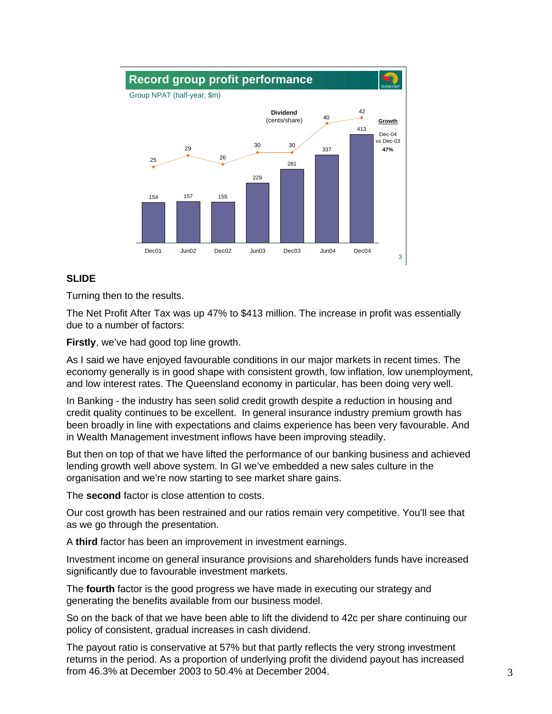

Turning then to the results.

The Net Profit After Tax was up 47% to \$413 million. The increase in profit was essentially due to a number of factors:

**Firstly**, we've had good top line growth.

As I said we have enjoyed favourable conditions in our major markets in recent times. The economy generally is in good shape with consistent growth, low inflation, low unemployment, and low interest rates. The Queensland economy in particular, has been doing very well.

In Banking - the industry has seen solid credit growth despite a reduction in housing and credit quality continues to be excellent. In general insurance industry premium growth has been broadly in line with expectations and claims experience has been very favourable. And in Wealth Management investment inflows have been improving steadily.

But then on top of that we have lifted the performance of our banking business and achieved lending growth well above system. In GI we've embedded a new sales culture in the organisation and we're now starting to see market share gains.

The **second** factor is close attention to costs.

Our cost growth has been restrained and our ratios remain very competitive. You'll see that as we go through the presentation.

A **third** factor has been an improvement in investment earnings.

Investment income on general insurance provisions and shareholders funds have increased significantly due to favourable investment markets.

The **fourth** factor is the good progress we have made in executing our strategy and generating the benefits available from our business model.

So on the back of that we have been able to lift the dividend to 42c per share continuing our policy of consistent, gradual increases in cash dividend.

The payout ratio is conservative at 57% but that partly reflects the very strong investment returns in the period. As a proportion of underlying profit the dividend payout has increased from 46.3% at December 2003 to 50.4% at December 2004.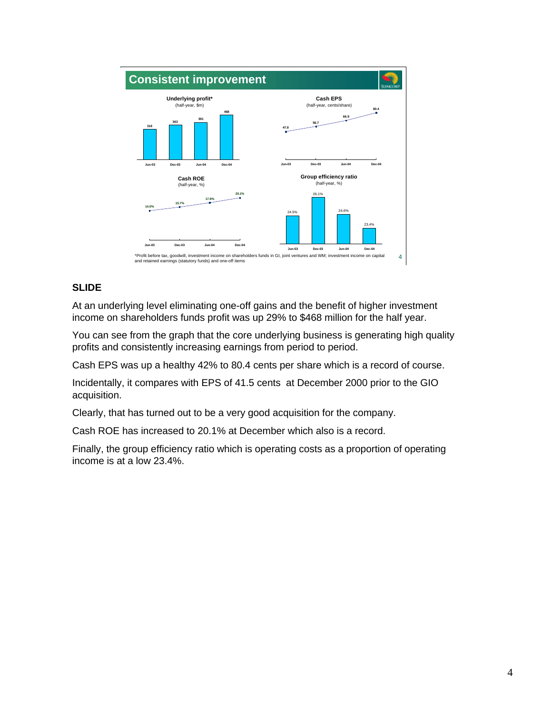

At an underlying level eliminating one-off gains and the benefit of higher investment income on shareholders funds profit was up 29% to \$468 million for the half year.

You can see from the graph that the core underlying business is generating high quality profits and consistently increasing earnings from period to period.

Cash EPS was up a healthy 42% to 80.4 cents per share which is a record of course.

Incidentally, it compares with EPS of 41.5 cents at December 2000 prior to the GIO acquisition.

Clearly, that has turned out to be a very good acquisition for the company.

Cash ROE has increased to 20.1% at December which also is a record.

Finally, the group efficiency ratio which is operating costs as a proportion of operating income is at a low 23.4%.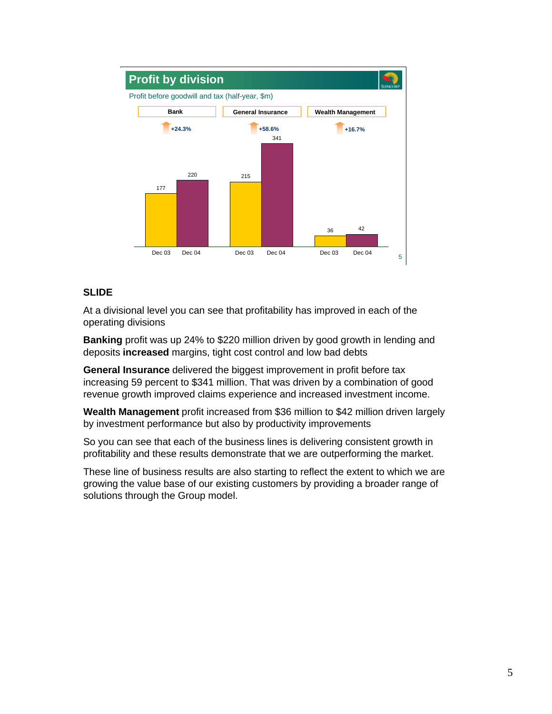

At a divisional level you can see that profitability has improved in each of the operating divisions

**Banking** profit was up 24% to \$220 million driven by good growth in lending and deposits **increased** margins, tight cost control and low bad debts

**General Insurance** delivered the biggest improvement in profit before tax increasing 59 percent to \$341 million. That was driven by a combination of good revenue growth improved claims experience and increased investment income.

**Wealth Management** profit increased from \$36 million to \$42 million driven largely by investment performance but also by productivity improvements

So you can see that each of the business lines is delivering consistent growth in profitability and these results demonstrate that we are outperforming the market.

These line of business results are also starting to reflect the extent to which we are growing the value base of our existing customers by providing a broader range of solutions through the Group model.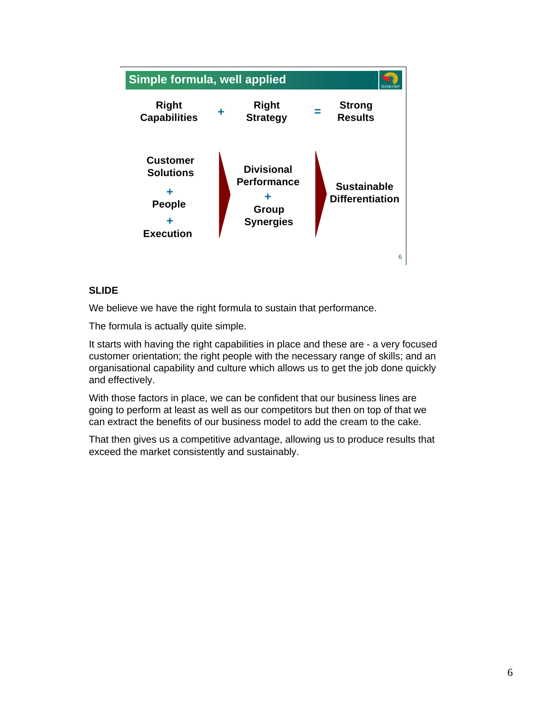

We believe we have the right formula to sustain that performance.

The formula is actually quite simple.

It starts with having the right capabilities in place and these are - a very focused customer orientation; the right people with the necessary range of skills; and an organisational capability and culture which allows us to get the job done quickly and effectively.

With those factors in place, we can be confident that our business lines are going to perform at least as well as our competitors but then on top of that we can extract the benefits of our business model to add the cream to the cake.

That then gives us a competitive advantage, allowing us to produce results that exceed the market consistently and sustainably.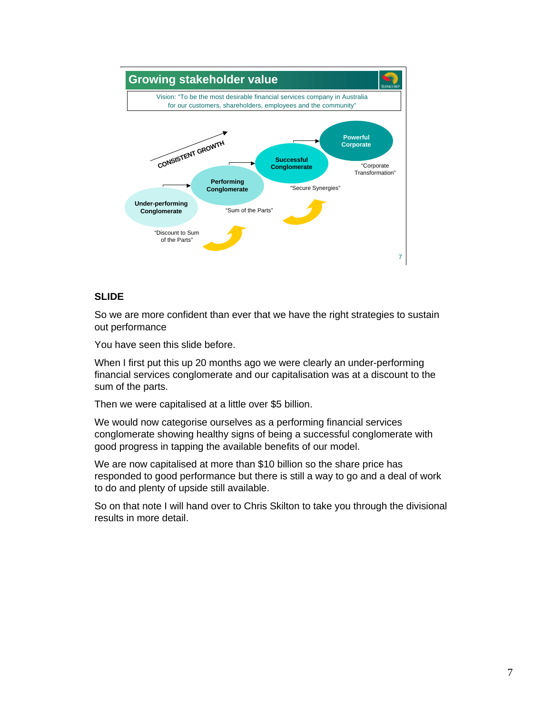

So we are more confident than ever that we have the right strategies to sustain out performance

You have seen this slide before.

When I first put this up 20 months ago we were clearly an under-performing financial services conglomerate and our capitalisation was at a discount to the sum of the parts.

Then we were capitalised at a little over \$5 billion.

We would now categorise ourselves as a performing financial services conglomerate showing healthy signs of being a successful conglomerate with good progress in tapping the available benefits of our model.

We are now capitalised at more than \$10 billion so the share price has responded to good performance but there is still a way to go and a deal of work to do and plenty of upside still available.

So on that note I will hand over to Chris Skilton to take you through the divisional results in more detail.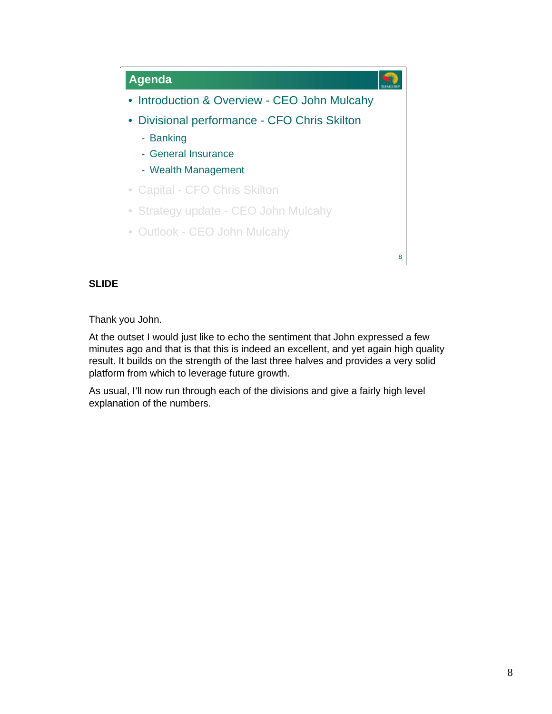

Thank you John.

At the outset I would just like to echo the sentiment that John expressed a few minutes ago and that is that this is indeed an excellent, and yet again high quality result. It builds on the strength of the last three halves and provides a very solid platform from which to leverage future growth.

As usual, I'll now run through each of the divisions and give a fairly high level explanation of the numbers.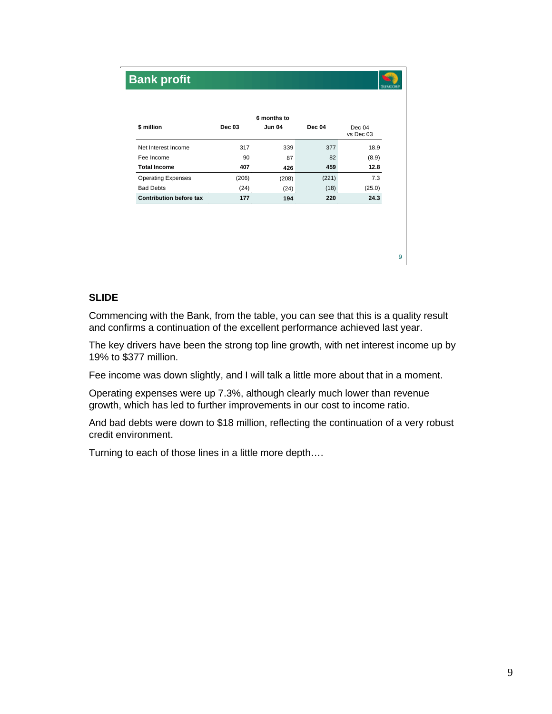## 9 **6 months to \$ million Dec 03 Jun 04 Dec 04** Dec 04 vs Dec 03 Net Interest Income 317 339 377 18.9 Fee Income 6 82 82 82 82 83 **Total Income 407 426 459 12.8** Operating Expenses (206) (208) (221) 7.3 Bad Debts (24) (24) (18) (25.0) **Contribution before tax 177 194 220 24.3 Bank profit**

## **SLIDE**

Commencing with the Bank, from the table, you can see that this is a quality result and confirms a continuation of the excellent performance achieved last year.

The key drivers have been the strong top line growth, with net interest income up by 19% to \$377 million.

Fee income was down slightly, and I will talk a little more about that in a moment.

Operating expenses were up 7.3%, although clearly much lower than revenue growth, which has led to further improvements in our cost to income ratio.

And bad debts were down to \$18 million, reflecting the continuation of a very robust credit environment.

Turning to each of those lines in a little more depth….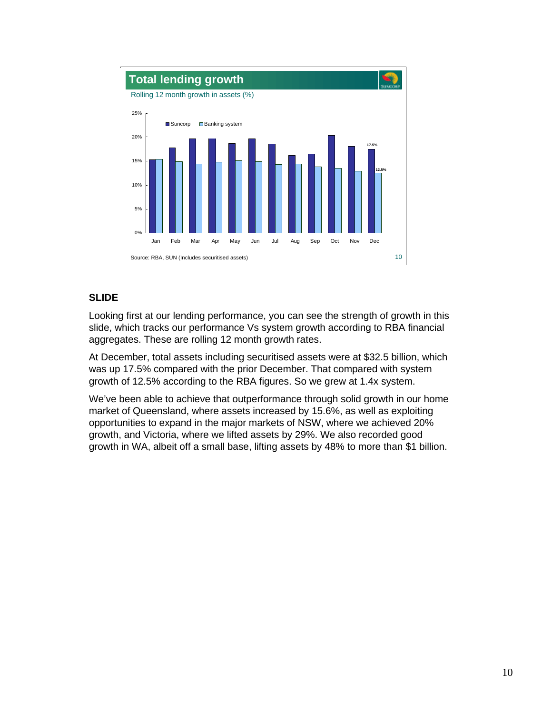

Looking first at our lending performance, you can see the strength of growth in this slide, which tracks our performance Vs system growth according to RBA financial aggregates. These are rolling 12 month growth rates.

At December, total assets including securitised assets were at \$32.5 billion, which was up 17.5% compared with the prior December. That compared with system growth of 12.5% according to the RBA figures. So we grew at 1.4x system.

We've been able to achieve that outperformance through solid growth in our home market of Queensland, where assets increased by 15.6%, as well as exploiting opportunities to expand in the major markets of NSW, where we achieved 20% growth, and Victoria, where we lifted assets by 29%. We also recorded good growth in WA, albeit off a small base, lifting assets by 48% to more than \$1 billion.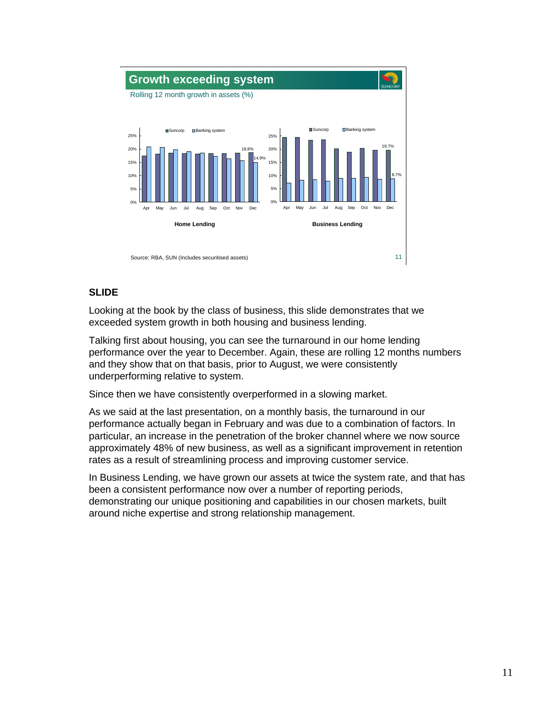

Looking at the book by the class of business, this slide demonstrates that we exceeded system growth in both housing and business lending.

Talking first about housing, you can see the turnaround in our home lending performance over the year to December. Again, these are rolling 12 months numbers and they show that on that basis, prior to August, we were consistently underperforming relative to system.

Since then we have consistently overperformed in a slowing market.

As we said at the last presentation, on a monthly basis, the turnaround in our performance actually began in February and was due to a combination of factors. In particular, an increase in the penetration of the broker channel where we now source approximately 48% of new business, as well as a significant improvement in retention rates as a result of streamlining process and improving customer service.

In Business Lending, we have grown our assets at twice the system rate, and that has been a consistent performance now over a number of reporting periods, demonstrating our unique positioning and capabilities in our chosen markets, built around niche expertise and strong relationship management.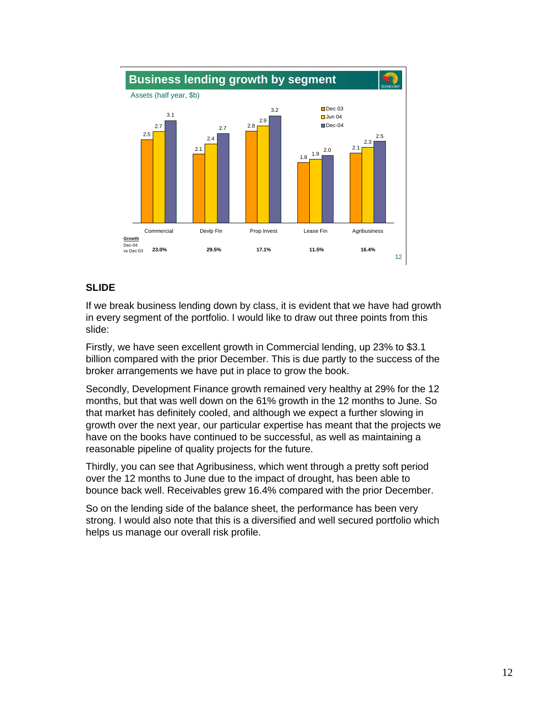

If we break business lending down by class, it is evident that we have had growth in every segment of the portfolio. I would like to draw out three points from this slide:

Firstly, we have seen excellent growth in Commercial lending, up 23% to \$3.1 billion compared with the prior December. This is due partly to the success of the broker arrangements we have put in place to grow the book.

Secondly, Development Finance growth remained very healthy at 29% for the 12 months, but that was well down on the 61% growth in the 12 months to June. So that market has definitely cooled, and although we expect a further slowing in growth over the next year, our particular expertise has meant that the projects we have on the books have continued to be successful, as well as maintaining a reasonable pipeline of quality projects for the future.

Thirdly, you can see that Agribusiness, which went through a pretty soft period over the 12 months to June due to the impact of drought, has been able to bounce back well. Receivables grew 16.4% compared with the prior December.

So on the lending side of the balance sheet, the performance has been very strong. I would also note that this is a diversified and well secured portfolio which helps us manage our overall risk profile.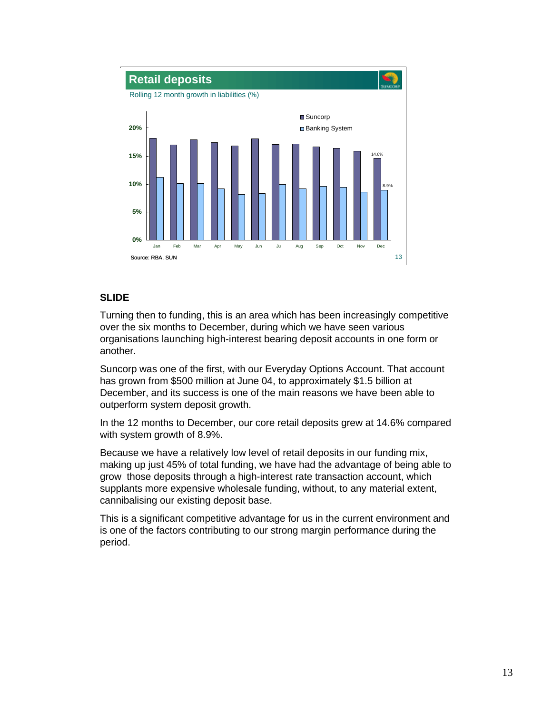

Turning then to funding, this is an area which has been increasingly competitive over the six months to December, during which we have seen various organisations launching high-interest bearing deposit accounts in one form or another.

Suncorp was one of the first, with our Everyday Options Account. That account has grown from \$500 million at June 04, to approximately \$1.5 billion at December, and its success is one of the main reasons we have been able to outperform system deposit growth.

In the 12 months to December, our core retail deposits grew at 14.6% compared with system growth of 8.9%.

Because we have a relatively low level of retail deposits in our funding mix, making up just 45% of total funding, we have had the advantage of being able to grow those deposits through a high-interest rate transaction account, which supplants more expensive wholesale funding, without, to any material extent, cannibalising our existing deposit base.

This is a significant competitive advantage for us in the current environment and is one of the factors contributing to our strong margin performance during the period.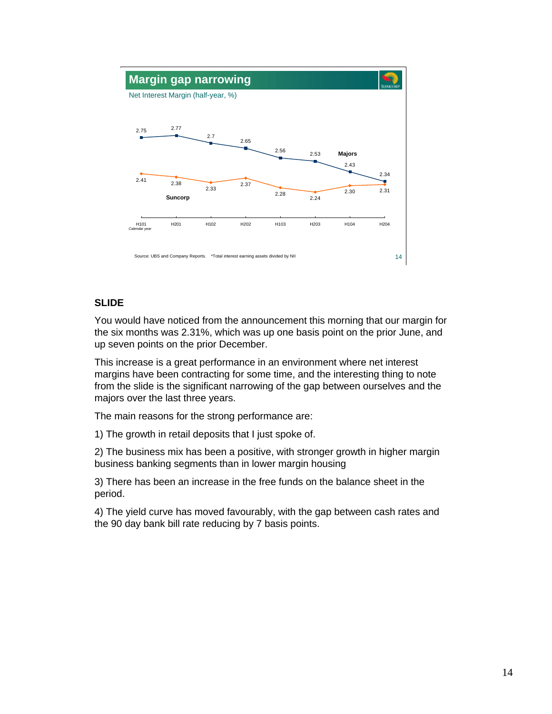

You would have noticed from the announcement this morning that our margin for the six months was 2.31%, which was up one basis point on the prior June, and up seven points on the prior December.

This increase is a great performance in an environment where net interest margins have been contracting for some time, and the interesting thing to note from the slide is the significant narrowing of the gap between ourselves and the majors over the last three years.

The main reasons for the strong performance are:

1) The growth in retail deposits that I just spoke of.

2) The business mix has been a positive, with stronger growth in higher margin business banking segments than in lower margin housing

3) There has been an increase in the free funds on the balance sheet in the period.

4) The yield curve has moved favourably, with the gap between cash rates and the 90 day bank bill rate reducing by 7 basis points.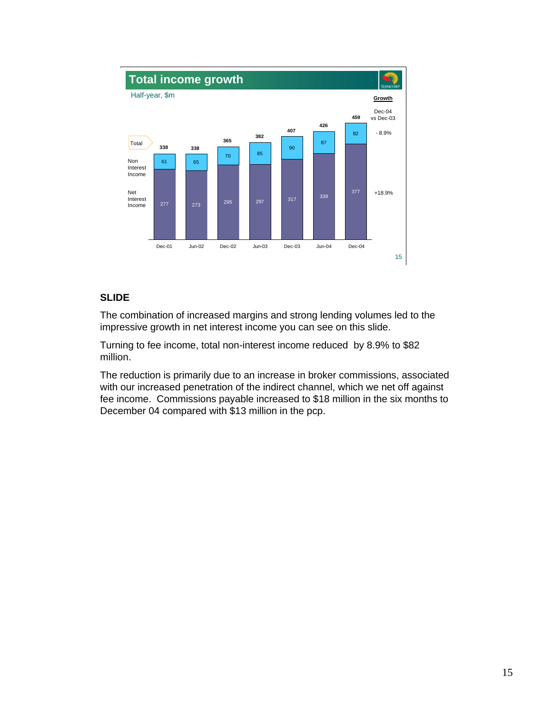

The combination of increased margins and strong lending volumes led to the impressive growth in net interest income you can see on this slide.

Turning to fee income, total non-interest income reduced by 8.9% to \$82 million.

The reduction is primarily due to an increase in broker commissions, associated with our increased penetration of the indirect channel, which we net off against fee income. Commissions payable increased to \$18 million in the six months to December 04 compared with \$13 million in the pcp.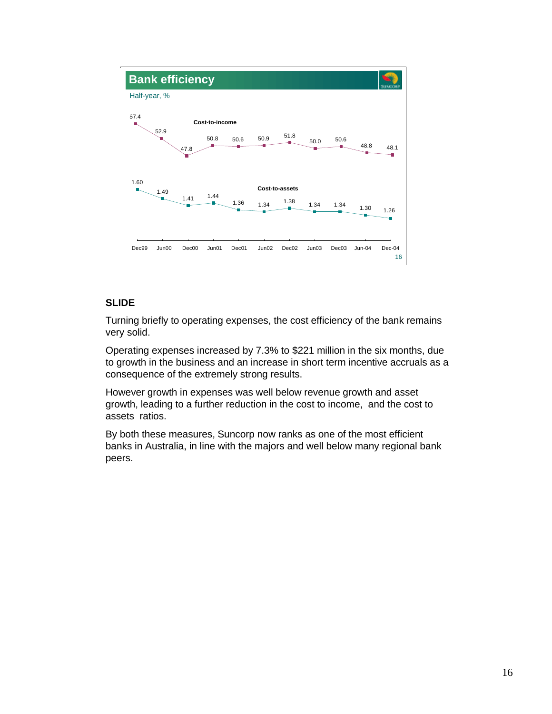

Turning briefly to operating expenses, the cost efficiency of the bank remains very solid.

Operating expenses increased by 7.3% to \$221 million in the six months, due to growth in the business and an increase in short term incentive accruals as a consequence of the extremely strong results.

However growth in expenses was well below revenue growth and asset growth, leading to a further reduction in the cost to income, and the cost to assets ratios.

By both these measures, Suncorp now ranks as one of the most efficient banks in Australia, in line with the majors and well below many regional bank peers.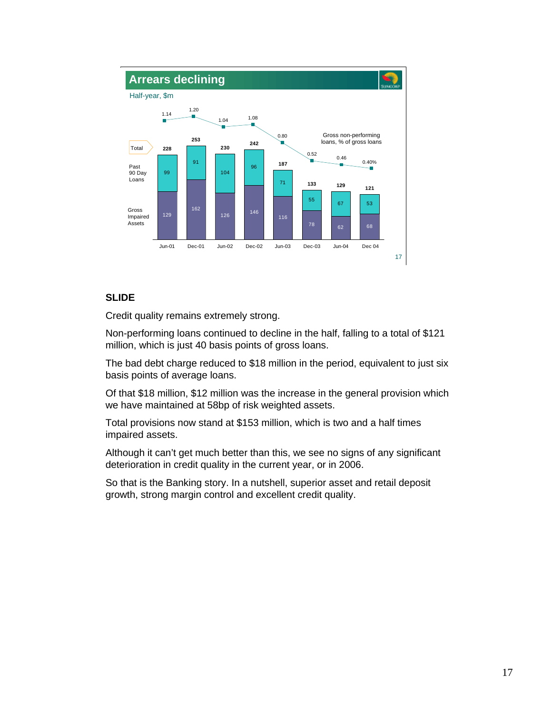

Credit quality remains extremely strong.

Non-performing loans continued to decline in the half, falling to a total of \$121 million, which is just 40 basis points of gross loans.

The bad debt charge reduced to \$18 million in the period, equivalent to just six basis points of average loans.

Of that \$18 million, \$12 million was the increase in the general provision which we have maintained at 58bp of risk weighted assets.

Total provisions now stand at \$153 million, which is two and a half times impaired assets.

Although it can't get much better than this, we see no signs of any significant deterioration in credit quality in the current year, or in 2006.

So that is the Banking story. In a nutshell, superior asset and retail deposit growth, strong margin control and excellent credit quality.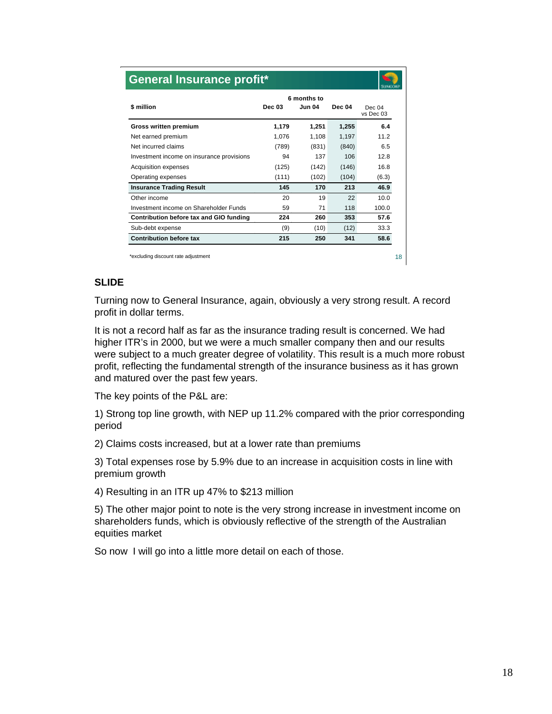| <b>General Insurance profit*</b>          |                                               |       |               |                     |  |
|-------------------------------------------|-----------------------------------------------|-------|---------------|---------------------|--|
| \$ million                                | 6 months to<br><b>Dec 03</b><br><b>Jun 04</b> |       | <b>Dec 04</b> | Dec 04<br>vs Dec 03 |  |
| Gross written premium                     | 1,179                                         | 1,251 | 1,255         | 6.4                 |  |
| Net earned premium                        | 1,076                                         | 1,108 | 1,197         | 11.2                |  |
| Net incurred claims                       | (789)                                         | (831) | (840)         | 6.5                 |  |
| Investment income on insurance provisions | 94                                            | 137   | 106           | 12R                 |  |
| Acquisition expenses                      | (125)                                         | (142) | (146)         | 16.8                |  |
| Operating expenses                        | (111)                                         | (102) | (104)         | (6.3)               |  |
| <b>Insurance Trading Result</b>           | 145                                           | 170   | 213           | 46.9                |  |
| Other income                              | 20                                            | 19    | 22            | 10.0                |  |
| Investment income on Shareholder Funds    | 59                                            | 71    | 118           | 100.0               |  |
| Contribution before tax and GIO funding   | 224                                           | 260   | 353           | 57.6                |  |
| Sub-debt expense                          | (9)                                           | (10)  | (12)          | 33.3                |  |
| <b>Contribution before tax</b>            | 215                                           | 250   | 341           | 58.6                |  |

Turning now to General Insurance, again, obviously a very strong result. A record profit in dollar terms.

It is not a record half as far as the insurance trading result is concerned. We had higher ITR's in 2000, but we were a much smaller company then and our results were subject to a much greater degree of volatility. This result is a much more robust profit, reflecting the fundamental strength of the insurance business as it has grown and matured over the past few years.

The key points of the P&L are:

1) Strong top line growth, with NEP up 11.2% compared with the prior corresponding period

2) Claims costs increased, but at a lower rate than premiums

3) Total expenses rose by 5.9% due to an increase in acquisition costs in line with premium growth

4) Resulting in an ITR up 47% to \$213 million

5) The other major point to note is the very strong increase in investment income on shareholders funds, which is obviously reflective of the strength of the Australian equities market

So now I will go into a little more detail on each of those.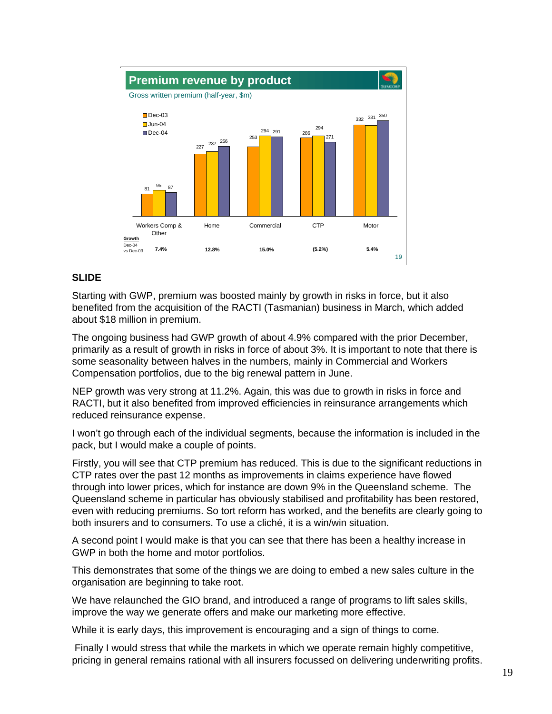

Starting with GWP, premium was boosted mainly by growth in risks in force, but it also benefited from the acquisition of the RACTI (Tasmanian) business in March, which added about \$18 million in premium.

The ongoing business had GWP growth of about 4.9% compared with the prior December, primarily as a result of growth in risks in force of about 3%. It is important to note that there is some seasonality between halves in the numbers, mainly in Commercial and Workers Compensation portfolios, due to the big renewal pattern in June.

NEP growth was very strong at 11.2%. Again, this was due to growth in risks in force and RACTI, but it also benefited from improved efficiencies in reinsurance arrangements which reduced reinsurance expense.

I won't go through each of the individual segments, because the information is included in the pack, but I would make a couple of points.

Firstly, you will see that CTP premium has reduced. This is due to the significant reductions in CTP rates over the past 12 months as improvements in claims experience have flowed through into lower prices, which for instance are down 9% in the Queensland scheme. The Queensland scheme in particular has obviously stabilised and profitability has been restored, even with reducing premiums. So tort reform has worked, and the benefits are clearly going to both insurers and to consumers. To use a cliché, it is a win/win situation.

A second point I would make is that you can see that there has been a healthy increase in GWP in both the home and motor portfolios.

This demonstrates that some of the things we are doing to embed a new sales culture in the organisation are beginning to take root.

We have relaunched the GIO brand, and introduced a range of programs to lift sales skills, improve the way we generate offers and make our marketing more effective.

While it is early days, this improvement is encouraging and a sign of things to come.

 Finally I would stress that while the markets in which we operate remain highly competitive, pricing in general remains rational with all insurers focussed on delivering underwriting profits.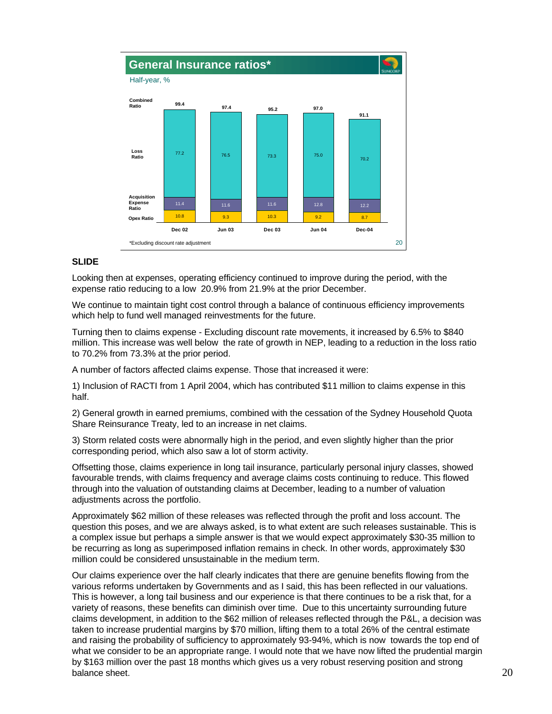

Looking then at expenses, operating efficiency continued to improve during the period, with the expense ratio reducing to a low 20.9% from 21.9% at the prior December.

We continue to maintain tight cost control through a balance of continuous efficiency improvements which help to fund well managed reinvestments for the future.

Turning then to claims expense - Excluding discount rate movements, it increased by 6.5% to \$840 million. This increase was well below the rate of growth in NEP, leading to a reduction in the loss ratio to 70.2% from 73.3% at the prior period.

A number of factors affected claims expense. Those that increased it were:

1) Inclusion of RACTI from 1 April 2004, which has contributed \$11 million to claims expense in this half.

2) General growth in earned premiums, combined with the cessation of the Sydney Household Quota Share Reinsurance Treaty, led to an increase in net claims.

3) Storm related costs were abnormally high in the period, and even slightly higher than the prior corresponding period, which also saw a lot of storm activity.

Offsetting those, claims experience in long tail insurance, particularly personal injury classes, showed favourable trends, with claims frequency and average claims costs continuing to reduce. This flowed through into the valuation of outstanding claims at December, leading to a number of valuation adjustments across the portfolio.

Approximately \$62 million of these releases was reflected through the profit and loss account. The question this poses, and we are always asked, is to what extent are such releases sustainable. This is a complex issue but perhaps a simple answer is that we would expect approximately \$30-35 million to be recurring as long as superimposed inflation remains in check. In other words, approximately \$30 million could be considered unsustainable in the medium term.

Our claims experience over the half clearly indicates that there are genuine benefits flowing from the various reforms undertaken by Governments and as I said, this has been reflected in our valuations. This is however, a long tail business and our experience is that there continues to be a risk that, for a variety of reasons, these benefits can diminish over time. Due to this uncertainty surrounding future claims development, in addition to the \$62 million of releases reflected through the P&L, a decision was taken to increase prudential margins by \$70 million, lifting them to a total 26% of the central estimate and raising the probability of sufficiency to approximately 93-94%, which is now towards the top end of what we consider to be an appropriate range. I would note that we have now lifted the prudential margin by \$163 million over the past 18 months which gives us a very robust reserving position and strong balance sheet.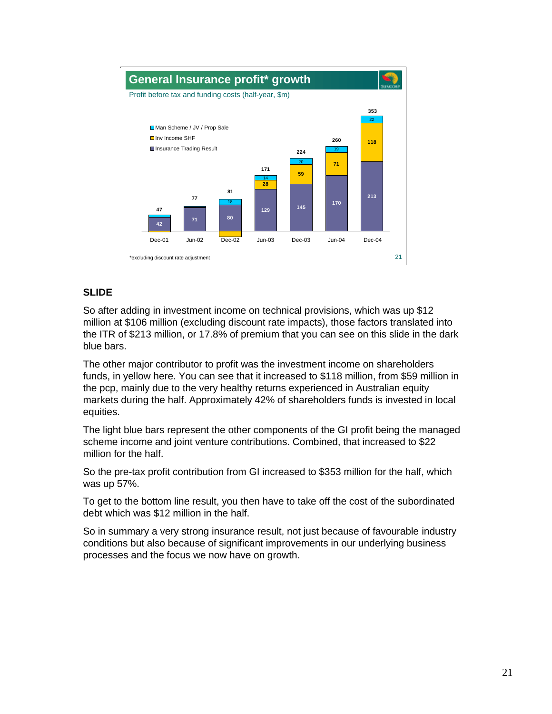

So after adding in investment income on technical provisions, which was up \$12 million at \$106 million (excluding discount rate impacts), those factors translated into the ITR of \$213 million, or 17.8% of premium that you can see on this slide in the dark blue bars.

The other major contributor to profit was the investment income on shareholders funds, in yellow here. You can see that it increased to \$118 million, from \$59 million in the pcp, mainly due to the very healthy returns experienced in Australian equity markets during the half. Approximately 42% of shareholders funds is invested in local equities.

The light blue bars represent the other components of the GI profit being the managed scheme income and joint venture contributions. Combined, that increased to \$22 million for the half.

So the pre-tax profit contribution from GI increased to \$353 million for the half, which was up 57%.

To get to the bottom line result, you then have to take off the cost of the subordinated debt which was \$12 million in the half.

So in summary a very strong insurance result, not just because of favourable industry conditions but also because of significant improvements in our underlying business processes and the focus we now have on growth.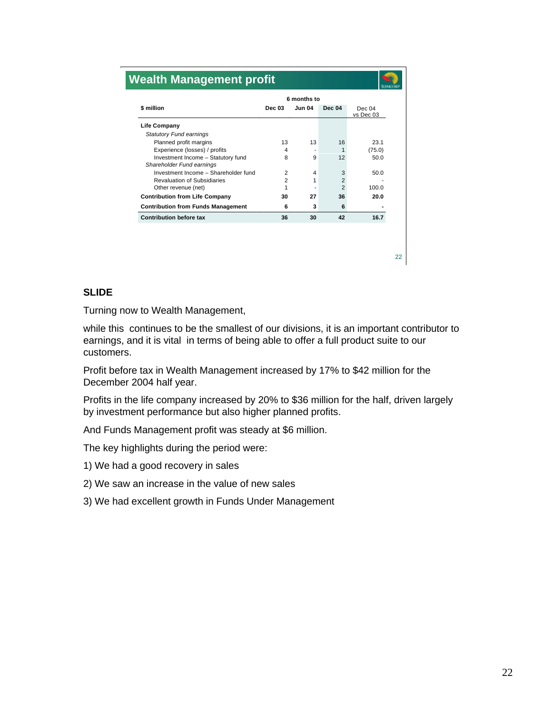| \$ million                                                      | 6 months to    |               |                |                       |  |
|-----------------------------------------------------------------|----------------|---------------|----------------|-----------------------|--|
|                                                                 | <b>Dec 03</b>  | <b>Jun 04</b> | <b>Dec 04</b>  | Dec $04$<br>vs Dec 03 |  |
| Life Company                                                    |                |               |                |                       |  |
| <b>Statutory Fund earnings</b>                                  |                |               |                |                       |  |
| Planned profit margins                                          | 13             | 13            | 16             | 23.1                  |  |
| Experience (losses) / profits                                   | 4              |               | 1              | (75.0)                |  |
| Investment Income - Statutory fund<br>Shareholder Fund earnings | 8              | 9             | 12             | 50.0                  |  |
| Investment Income - Shareholder fund                            | 2              | 4             | 3              | 50.0                  |  |
| <b>Revaluation of Subsidiaries</b>                              | $\overline{2}$ | 1             | $\overline{2}$ |                       |  |
| Other revenue (net)                                             | 1              |               | $\overline{2}$ | 100.0                 |  |
| <b>Contribution from Life Company</b>                           | 30             | 27            | 36             | 20.0                  |  |
| <b>Contribution from Funds Management</b>                       | 6              | 3             | 6              |                       |  |
| <b>Contribution before tax</b>                                  | 36             | 30            | 42             | 16.7                  |  |
|                                                                 |                |               |                |                       |  |

Turning now to Wealth Management,

while this continues to be the smallest of our divisions, it is an important contributor to earnings, and it is vital in terms of being able to offer a full product suite to our customers.

Profit before tax in Wealth Management increased by 17% to \$42 million for the December 2004 half year.

Profits in the life company increased by 20% to \$36 million for the half, driven largely by investment performance but also higher planned profits.

And Funds Management profit was steady at \$6 million.

The key highlights during the period were:

- 1) We had a good recovery in sales
- 2) We saw an increase in the value of new sales
- 3) We had excellent growth in Funds Under Management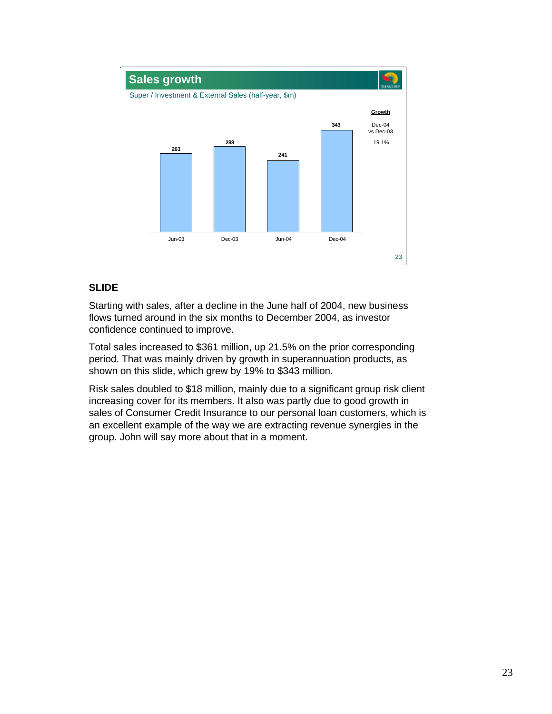

Starting with sales, after a decline in the June half of 2004, new business flows turned around in the six months to December 2004, as investor confidence continued to improve.

Total sales increased to \$361 million, up 21.5% on the prior corresponding period. That was mainly driven by growth in superannuation products, as shown on this slide, which grew by 19% to \$343 million.

Risk sales doubled to \$18 million, mainly due to a significant group risk client increasing cover for its members. It also was partly due to good growth in sales of Consumer Credit Insurance to our personal loan customers, which is an excellent example of the way we are extracting revenue synergies in the group. John will say more about that in a moment.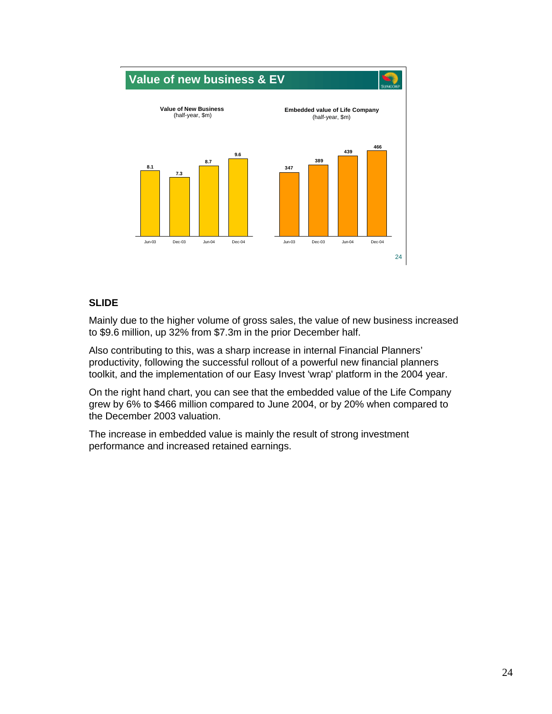

Mainly due to the higher volume of gross sales, the value of new business increased to \$9.6 million, up 32% from \$7.3m in the prior December half.

Also contributing to this, was a sharp increase in internal Financial Planners' productivity, following the successful rollout of a powerful new financial planners toolkit, and the implementation of our Easy Invest 'wrap' platform in the 2004 year.

On the right hand chart, you can see that the embedded value of the Life Company grew by 6% to \$466 million compared to June 2004, or by 20% when compared to the December 2003 valuation.

The increase in embedded value is mainly the result of strong investment performance and increased retained earnings.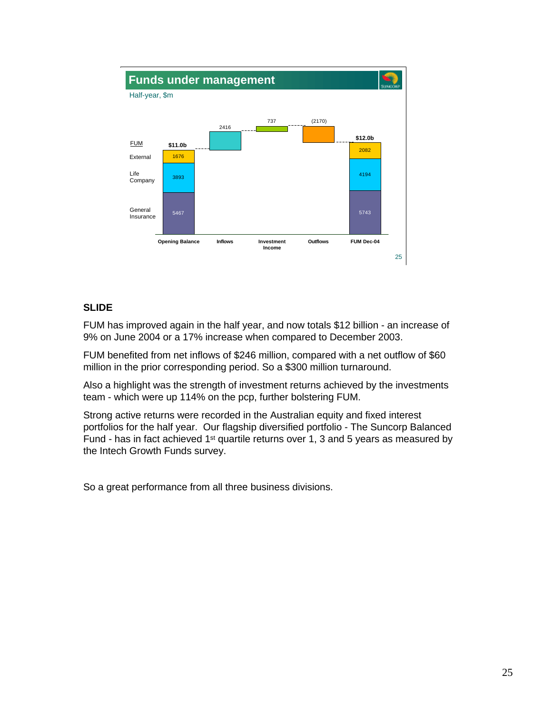

FUM has improved again in the half year, and now totals \$12 billion - an increase of 9% on June 2004 or a 17% increase when compared to December 2003.

FUM benefited from net inflows of \$246 million, compared with a net outflow of \$60 million in the prior corresponding period. So a \$300 million turnaround.

Also a highlight was the strength of investment returns achieved by the investments team - which were up 114% on the pcp, further bolstering FUM.

Strong active returns were recorded in the Australian equity and fixed interest portfolios for the half year. Our flagship diversified portfolio - The Suncorp Balanced Fund - has in fact achieved 1st quartile returns over 1, 3 and 5 years as measured by the Intech Growth Funds survey.

So a great performance from all three business divisions.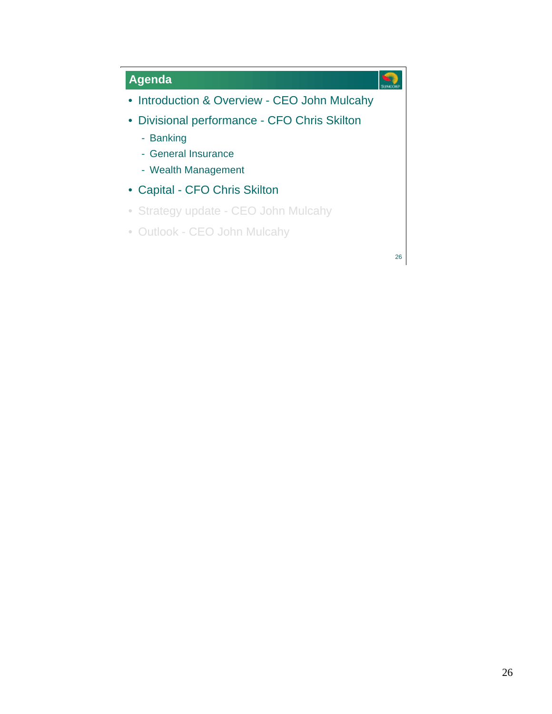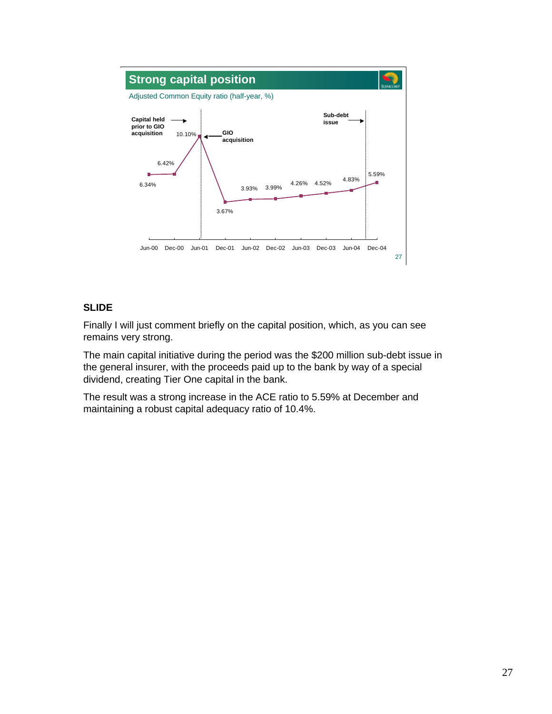

Finally I will just comment briefly on the capital position, which, as you can see remains very strong.

The main capital initiative during the period was the \$200 million sub-debt issue in the general insurer, with the proceeds paid up to the bank by way of a special dividend, creating Tier One capital in the bank.

The result was a strong increase in the ACE ratio to 5.59% at December and maintaining a robust capital adequacy ratio of 10.4%.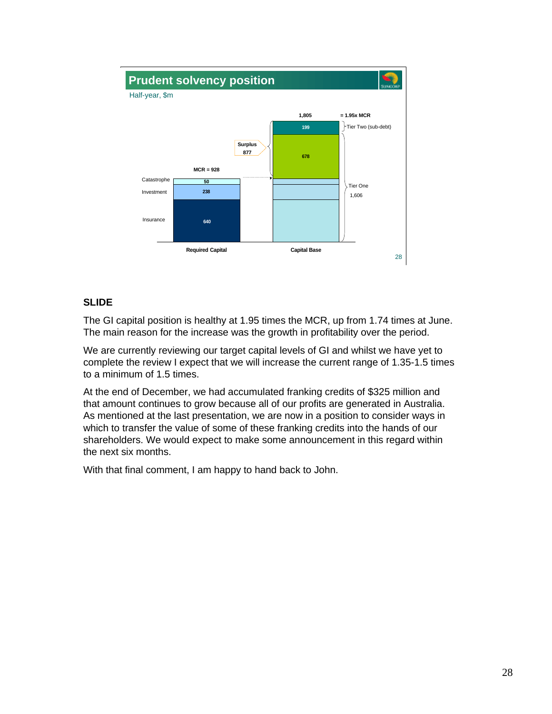

The GI capital position is healthy at 1.95 times the MCR, up from 1.74 times at June. The main reason for the increase was the growth in profitability over the period.

We are currently reviewing our target capital levels of GI and whilst we have yet to complete the review I expect that we will increase the current range of 1.35-1.5 times to a minimum of 1.5 times.

At the end of December, we had accumulated franking credits of \$325 million and that amount continues to grow because all of our profits are generated in Australia. As mentioned at the last presentation, we are now in a position to consider ways in which to transfer the value of some of these franking credits into the hands of our shareholders. We would expect to make some announcement in this regard within the next six months.

With that final comment, I am happy to hand back to John.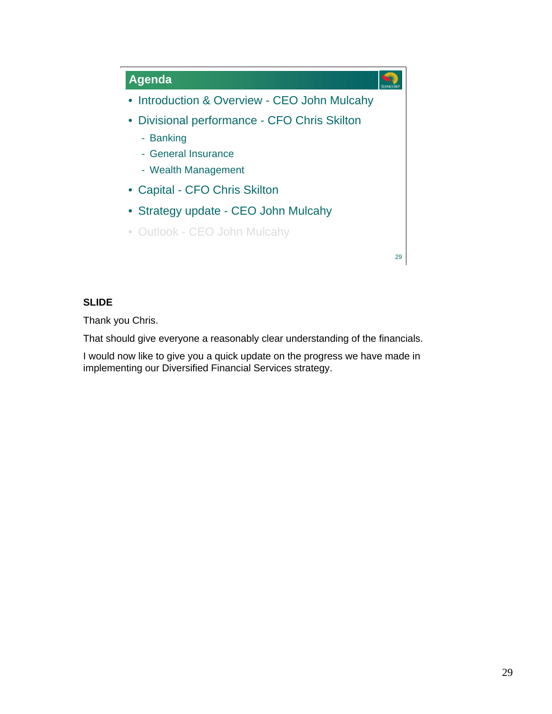

Thank you Chris.

That should give everyone a reasonably clear understanding of the financials.

I would now like to give you a quick update on the progress we have made in implementing our Diversified Financial Services strategy.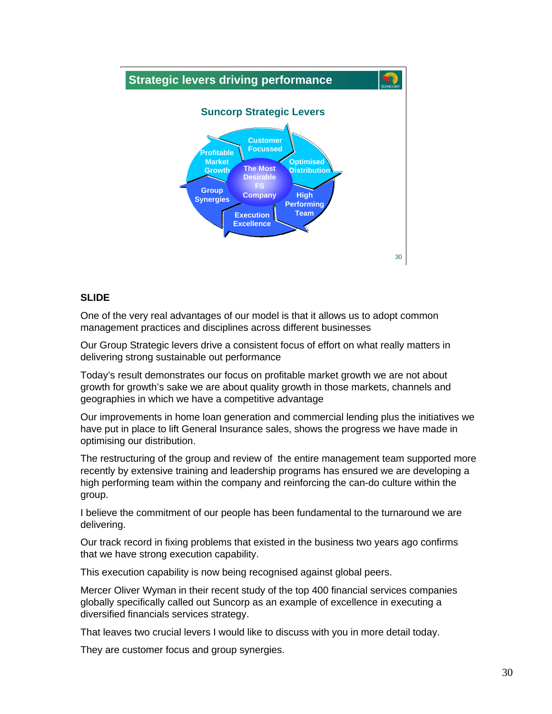

One of the very real advantages of our model is that it allows us to adopt common management practices and disciplines across different businesses

Our Group Strategic levers drive a consistent focus of effort on what really matters in delivering strong sustainable out performance

Today's result demonstrates our focus on profitable market growth we are not about growth for growth's sake we are about quality growth in those markets, channels and geographies in which we have a competitive advantage

Our improvements in home loan generation and commercial lending plus the initiatives we have put in place to lift General Insurance sales, shows the progress we have made in optimising our distribution.

The restructuring of the group and review of the entire management team supported more recently by extensive training and leadership programs has ensured we are developing a high performing team within the company and reinforcing the can-do culture within the group.

I believe the commitment of our people has been fundamental to the turnaround we are delivering.

Our track record in fixing problems that existed in the business two years ago confirms that we have strong execution capability.

This execution capability is now being recognised against global peers.

Mercer Oliver Wyman in their recent study of the top 400 financial services companies globally specifically called out Suncorp as an example of excellence in executing a diversified financials services strategy.

That leaves two crucial levers I would like to discuss with you in more detail today.

They are customer focus and group synergies.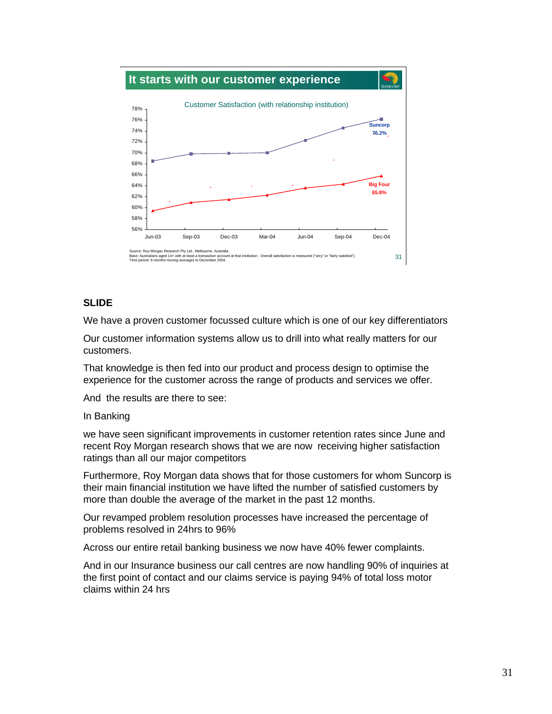

We have a proven customer focussed culture which is one of our key differentiators

Our customer information systems allow us to drill into what really matters for our customers.

That knowledge is then fed into our product and process design to optimise the experience for the customer across the range of products and services we offer.

And the results are there to see:

#### In Banking

we have seen significant improvements in customer retention rates since June and recent Roy Morgan research shows that we are now receiving higher satisfaction ratings than all our major competitors

Furthermore, Roy Morgan data shows that for those customers for whom Suncorp is their main financial institution we have lifted the number of satisfied customers by more than double the average of the market in the past 12 months.

Our revamped problem resolution processes have increased the percentage of problems resolved in 24hrs to 96%

Across our entire retail banking business we now have 40% fewer complaints.

And in our Insurance business our call centres are now handling 90% of inquiries at the first point of contact and our claims service is paying 94% of total loss motor claims within 24 hrs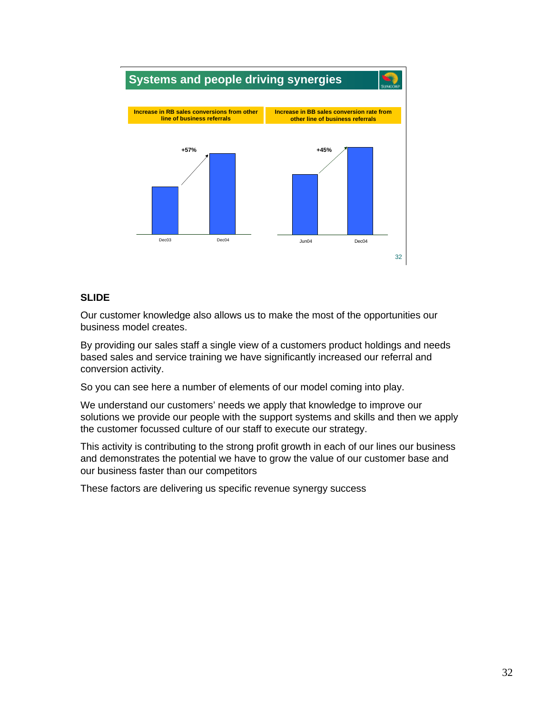

Our customer knowledge also allows us to make the most of the opportunities our business model creates.

By providing our sales staff a single view of a customers product holdings and needs based sales and service training we have significantly increased our referral and conversion activity.

So you can see here a number of elements of our model coming into play.

We understand our customers' needs we apply that knowledge to improve our solutions we provide our people with the support systems and skills and then we apply the customer focussed culture of our staff to execute our strategy.

This activity is contributing to the strong profit growth in each of our lines our business and demonstrates the potential we have to grow the value of our customer base and our business faster than our competitors

These factors are delivering us specific revenue synergy success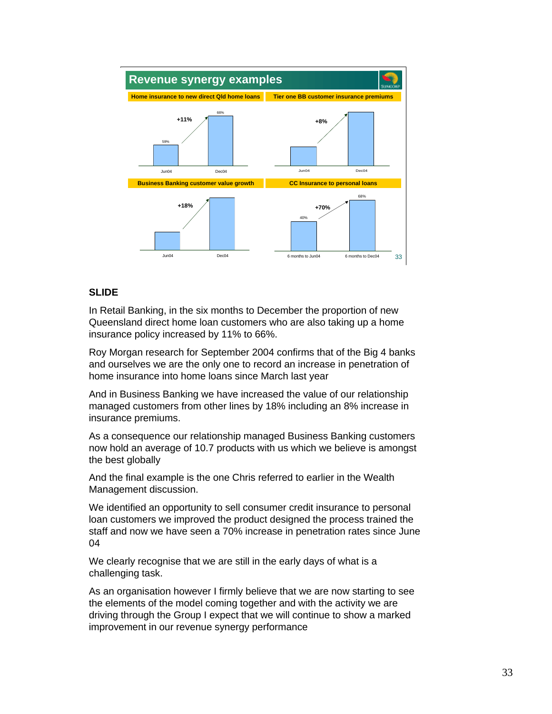

In Retail Banking, in the six months to December the proportion of new Queensland direct home loan customers who are also taking up a home insurance policy increased by 11% to 66%.

Roy Morgan research for September 2004 confirms that of the Big 4 banks and ourselves we are the only one to record an increase in penetration of home insurance into home loans since March last year

And in Business Banking we have increased the value of our relationship managed customers from other lines by 18% including an 8% increase in insurance premiums.

As a consequence our relationship managed Business Banking customers now hold an average of 10.7 products with us which we believe is amongst the best globally

And the final example is the one Chris referred to earlier in the Wealth Management discussion.

We identified an opportunity to sell consumer credit insurance to personal loan customers we improved the product designed the process trained the staff and now we have seen a 70% increase in penetration rates since June 04

We clearly recognise that we are still in the early days of what is a challenging task.

As an organisation however I firmly believe that we are now starting to see the elements of the model coming together and with the activity we are driving through the Group I expect that we will continue to show a marked improvement in our revenue synergy performance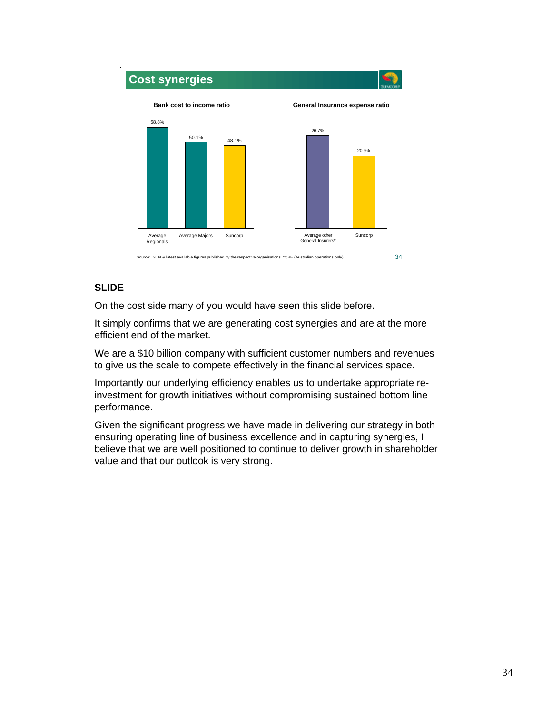

On the cost side many of you would have seen this slide before.

It simply confirms that we are generating cost synergies and are at the more efficient end of the market.

We are a \$10 billion company with sufficient customer numbers and revenues to give us the scale to compete effectively in the financial services space.

Importantly our underlying efficiency enables us to undertake appropriate reinvestment for growth initiatives without compromising sustained bottom line performance.

Given the significant progress we have made in delivering our strategy in both ensuring operating line of business excellence and in capturing synergies, I believe that we are well positioned to continue to deliver growth in shareholder value and that our outlook is very strong.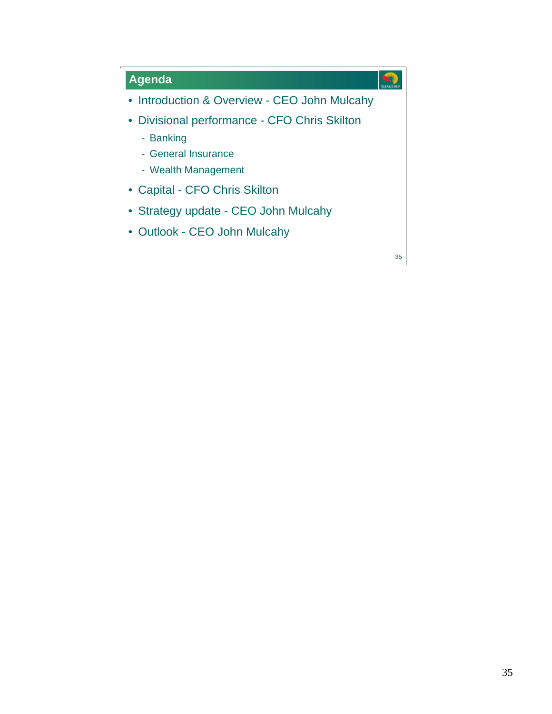## **Agenda**

- Introduction & Overview CEO John Mulcahy
- Divisional performance CFO Chris Skilton
	- Banking
	- General Insurance
	- Wealth Management
- Capital CFO Chris Skilton
- Strategy update CEO John Mulcahy
- Outlook CEO John Mulcahy

35

 $\mathcal{L}$